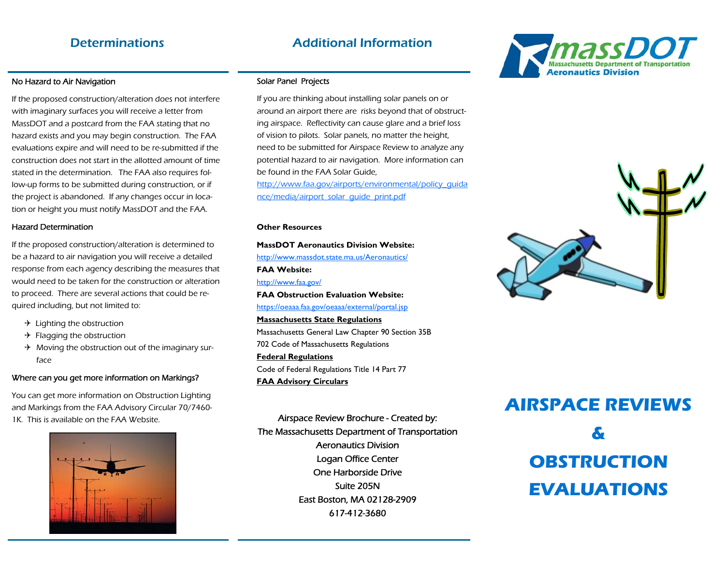### Determinations Additional Information

No Hazard to Air Navigation<br>If the proposed construction/alteration does not interfere with imaginary surfaces you will receive a letter from MassDOT and a postcard from the FAA stating that no hazard exists and you may begin construction. The FAA evaluations expire and will need to be re-submitted if the construction does not start in the allotted amount of time stated in the determination. The FAA also requires follow-up forms to be submitted during construction, or if the project is abandoned. If any changes occur in location or height you must notify MassDOT and the FAA.

Hazard Determination<br>If the proposed construction/alteration is determined to be a hazard to air navigation you will receive a detailed response from each agency describing the measures that would need to be taken for the construction or alteration to proceed. There are several actions that could be required including, but not limited to:

- $\rightarrow$  Lighting the obstruction
- $\rightarrow$  Flagging the obstruction
- $\rightarrow$  Moving the obstruction out of the imaginary surface

# Where can you get more information on Markings?<br>You can get more information on Obstruction Lighting

and Markings from the FAA Advisory Circular 70/7460- 1K. This is available on the FAA Website. Airspace Review Brochure - Created by:



Solar Panel Projects<br>If you are thinking about installing solar panels on or around an airport there are risks beyond that of obstructing airspace. Reflectivity can cause glare and a brief loss of vision to pilots. Solar panels, no matter the height, need to be submitted for Airspace Review to analyze any potential hazard to air navigation. More information can be found in the FAA Solar Guide, http://www.faa.gov/airports/environmental/policy\_guida nce/media/airport\_solar\_guide\_print.pdf

**Other Resources MassDOT Aeronautics Division Website:** http://www.massdot.state.ma.us/Aeronautics/ **FAA Website:** http://www.faa.gov/ **FAA Obstruction Evaluation Website:** https://oeaaa.faa.gov/oeaaa/external/portal.jsp **Massachusetts State Regulations**  Massachusetts General Law Chapter 90 Section 35B 702 Code of Massachusetts Regulations **Federal Regulations**  Code of Federal Regulations Title 14 Part 77 **FAA Advisory Circulars** 

The Massachusetts Department of Transportation Aeronautics Division Logan Office Center One Harborside Drive Suite 205N East Boston, MA 02128-2909 617-412-3680





# **AIRSPACE REVIEWS**

**& OBSTRUCTION EVALUATIONS**